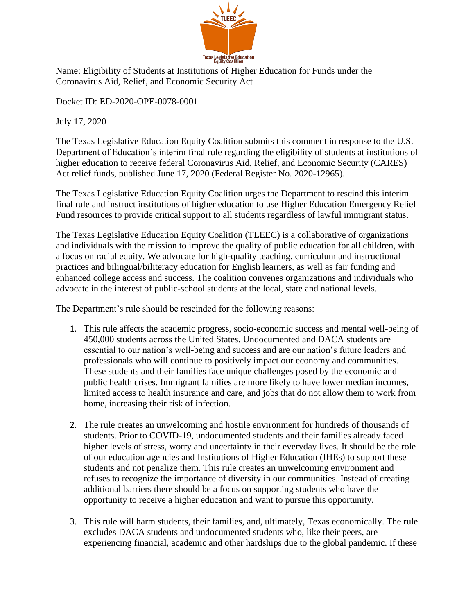

Name: Eligibility of Students at Institutions of Higher Education for Funds under the Coronavirus Aid, Relief, and Economic Security Act

Docket ID: ED-2020-OPE-0078-0001

July 17, 2020

The Texas Legislative Education Equity Coalition submits this comment in response to the U.S. Department of Education's interim final rule regarding the eligibility of students at institutions of higher education to receive federal Coronavirus Aid, Relief, and Economic Security (CARES) Act relief funds, published June 17, 2020 (Federal Register No. 2020-12965).

The Texas Legislative Education Equity Coalition urges the Department to rescind this interim final rule and instruct institutions of higher education to use Higher Education Emergency Relief Fund resources to provide critical support to all students regardless of lawful immigrant status.

The Texas Legislative Education Equity Coalition (TLEEC) is a collaborative of organizations and individuals with the mission to improve the quality of public education for all children, with a focus on racial equity. We advocate for high-quality teaching, curriculum and instructional practices and bilingual/biliteracy education for English learners, as well as fair funding and enhanced college access and success. The coalition convenes organizations and individuals who advocate in the interest of public-school students at the local, state and national levels.

The Department's rule should be rescinded for the following reasons:

- 1. This rule affects the academic progress, socio-economic success and mental well-being of 450,000 students across the United States. Undocumented and DACA students are essential to our nation's well-being and success and are our nation's future leaders and professionals who will continue to positively impact our economy and communities. These students and their families face unique challenges posed by the economic and public health crises. Immigrant families are more likely to have lower median incomes, limited access to health insurance and care, and jobs that do not allow them to work from home, increasing their risk of infection.
- 2. The rule creates an unwelcoming and hostile environment for hundreds of thousands of students. Prior to COVID-19, undocumented students and their families already faced higher levels of stress, worry and uncertainty in their everyday lives. It should be the role of our education agencies and Institutions of Higher Education (IHEs) to support these students and not penalize them. This rule creates an unwelcoming environment and refuses to recognize the importance of diversity in our communities. Instead of creating additional barriers there should be a focus on supporting students who have the opportunity to receive a higher education and want to pursue this opportunity.
- 3. This rule will harm students, their families, and, ultimately, Texas economically. The rule excludes DACA students and undocumented students who, like their peers, are experiencing financial, academic and other hardships due to the global pandemic. If these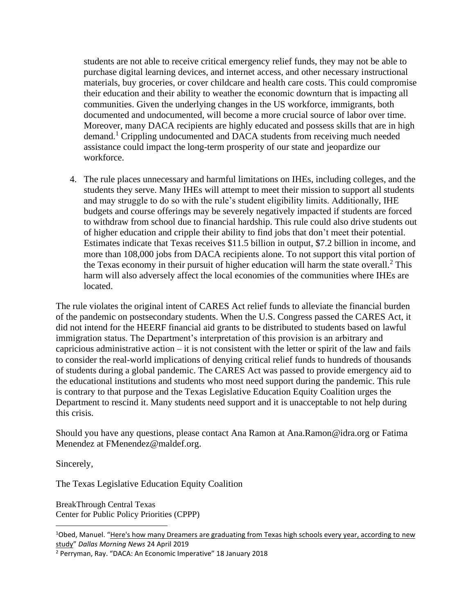students are not able to receive critical emergency relief funds, they may not be able to purchase digital learning devices, and internet access, and other necessary instructional materials, buy groceries, or cover childcare and health care costs. This could compromise their education and their ability to weather the economic downturn that is impacting all communities. Given the underlying changes in the US workforce, immigrants, both documented and undocumented, will become a more crucial source of labor over time. Moreover, many DACA recipients are highly educated and possess skills that are in high demand.<sup>1</sup> Crippling undocumented and DACA students from receiving much needed assistance could impact the long-term prosperity of our state and jeopardize our workforce.

4. The rule places unnecessary and harmful limitations on IHEs, including colleges, and the students they serve. Many IHEs will attempt to meet their mission to support all students and may struggle to do so with the rule's student eligibility limits. Additionally, IHE budgets and course offerings may be severely negatively impacted if students are forced to withdraw from school due to financial hardship. This rule could also drive students out of higher education and cripple their ability to find jobs that don't meet their potential. Estimates indicate that Texas receives \$11.5 billion in output, \$7.2 billion in income, and more than 108,000 jobs from DACA recipients alone. To not support this vital portion of the Texas economy in their pursuit of higher education will harm the state overall.<sup>2</sup> This harm will also adversely affect the local economies of the communities where IHEs are located.

The rule violates the original intent of CARES Act relief funds to alleviate the financial burden of the pandemic on postsecondary students. When the U.S. Congress passed the CARES Act, it did not intend for the HEERF financial aid grants to be distributed to students based on lawful immigration status. The Department's interpretation of this provision is an arbitrary and capricious administrative action – it is not consistent with the letter or spirit of the law and fails to consider the real-world implications of denying critical relief funds to hundreds of thousands of students during a global pandemic. The CARES Act was passed to provide emergency aid to the educational institutions and students who most need support during the pandemic. This rule is contrary to that purpose and the Texas Legislative Education Equity Coalition urges the Department to rescind it. Many students need support and it is unacceptable to not help during this crisis.

Should you have any questions, please contact Ana Ramon at Ana.Ramon@idra.org or Fatima Menendez at FMenendez@maldef.org.

Sincerely,

The Texas Legislative Education Equity Coalition

BreakThrough Central Texas Center for Public Policy Priorities (CPPP)

<sup>&</sup>lt;sup>1</sup>Obed, Manuel. "[Here's how many Dreamers are graduating from Texas high schools every year, according to](https://www.dallasnews.com/news/immigration/2019/04/24/here-s-how-many-dreamers-are-graduating-from-texas-high-schools-every-year-according-to-new-study/) new [study](https://www.dallasnews.com/news/immigration/2019/04/24/here-s-how-many-dreamers-are-graduating-from-texas-high-schools-every-year-according-to-new-study/)" *Dallas Morning News* 24 April 2019

<sup>2</sup> Perryman, Ray. "DACA: An Economic Imperative" 18 January 2018